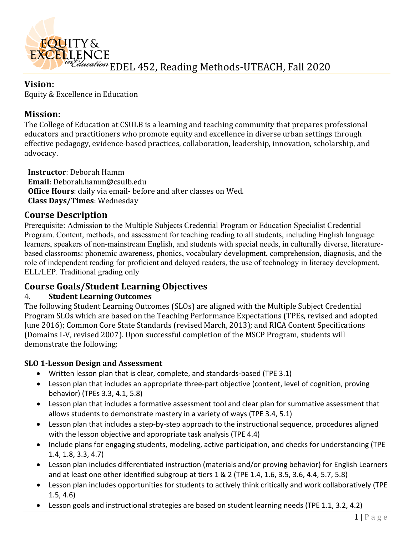

### **Vision:**

Equity & Excellence in Education

## **Mission:**

The College of Education at CSULB is a learning and teaching community that prepares professional educators and practitioners who promote equity and excellence in diverse urban settings through effective pedagogy, evidence-based practices, collaboration, leadership, innovation, scholarship, and advocacy.

**Instructor**: Deborah Hamm **Email**: Deborah.hamm@csulb.edu **Office Hours**: daily via email- before and after classes on Wed. **Class Days/Times**: Wednesday

# **Course Description**

Prerequisite: Admission to the Multiple Subjects Credential Program or Education Specialist Credential Program. Content, methods, and assessment for teaching reading to all students, including English language learners, speakers of non-mainstream English, and students with special needs, in culturally diverse, literaturebased classrooms: phonemic awareness, phonics, vocabulary development, comprehension, diagnosis, and the role of independent reading for proficient and delayed readers, the use of technology in literacy development. ELL/LEP. Traditional grading only

# **Course Goals/Student Learning Objectives**

### 4. **Student Learning Outcomes**

The following Student Learning Outcomes (SLOs) are aligned with the Multiple Subject Credential Program SLOs which are based on the Teaching Performance Expectations (TPEs, revised and adopted June 2016); Common Core State Standards (revised March, 2013); and RICA Content Specifications (Domains I-V, revised 2007). Upon successful completion of the MSCP Program, students will demonstrate the following:

### **SLO 1-Lesson Design and Assessment**

- Written lesson plan that is clear, complete, and standards-based (TPE 3.1)
- Lesson plan that includes an appropriate three-part objective (content, level of cognition, proving behavior) (TPEs 3.3, 4.1, 5.8)
- Lesson plan that includes a formative assessment tool and clear plan for summative assessment that allows students to demonstrate mastery in a variety of ways (TPE 3.4, 5.1)
- Lesson plan that includes a step-by-step approach to the instructional sequence, procedures aligned with the lesson objective and appropriate task analysis (TPE 4.4)
- Include plans for engaging students, modeling, active participation, and checks for understanding (TPE 1.4, 1.8, 3.3, 4.7)
- Lesson plan includes differentiated instruction (materials and/or proving behavior) for English Learners and at least one other identified subgroup at tiers 1 & 2 (TPE 1.4, 1.6, 3.5, 3.6, 4.4, 5.7, 5.8)
- Lesson plan includes opportunities for students to actively think critically and work collaboratively (TPE 1.5, 4.6)
- Lesson goals and instructional strategies are based on student learning needs (TPE 1.1, 3.2, 4.2)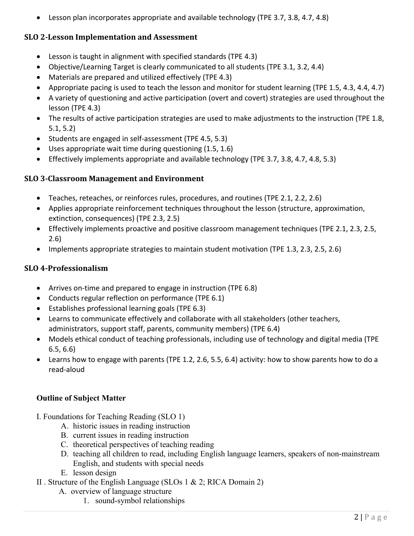• Lesson plan incorporates appropriate and available technology (TPE 3.7, 3.8, 4.7, 4.8)

### **SLO 2-Lesson Implementation and Assessment**

- Lesson is taught in alignment with specified standards (TPE 4.3)
- Objective/Learning Target is clearly communicated to all students (TPE 3.1, 3.2, 4.4)
- Materials are prepared and utilized effectively (TPE 4.3)
- Appropriate pacing is used to teach the lesson and monitor for student learning (TPE 1.5, 4.3, 4.4, 4.7)
- A variety of questioning and active participation (overt and covert) strategies are used throughout the lesson (TPE 4.3)
- The results of active participation strategies are used to make adjustments to the instruction (TPE 1.8, 5.1, 5.2)
- Students are engaged in self-assessment (TPE 4.5, 5.3)
- Uses appropriate wait time during questioning (1.5, 1.6)
- Effectively implements appropriate and available technology (TPE 3.7, 3.8, 4.7, 4.8, 5.3)

#### **SLO 3-Classroom Management and Environment**

- Teaches, reteaches, or reinforces rules, procedures, and routines (TPE 2.1, 2.2, 2.6)
- Applies appropriate reinforcement techniques throughout the lesson (structure, approximation, extinction, consequences) (TPE 2.3, 2.5)
- Effectively implements proactive and positive classroom management techniques (TPE 2.1, 2.3, 2.5, 2.6)
- Implements appropriate strategies to maintain student motivation (TPE 1.3, 2.3, 2.5, 2.6)

### **SLO 4-Professionalism**

- Arrives on-time and prepared to engage in instruction (TPE 6.8)
- Conducts regular reflection on performance (TPE 6.1)
- Establishes professional learning goals (TPE 6.3)
- Learns to communicate effectively and collaborate with all stakeholders (other teachers, administrators, support staff, parents, community members) (TPE 6.4)
- Models ethical conduct of teaching professionals, including use of technology and digital media (TPE 6.5, 6.6)
- Learns how to engage with parents (TPE 1.2, 2.6, 5.5, 6.4) activity: how to show parents how to do a read-aloud

### **Outline of Subject Matter**

- I. Foundations for Teaching Reading (SLO 1)
	- A. historic issues in reading instruction
	- B. current issues in reading instruction
	- C. theoretical perspectives of teaching reading
	- D. teaching all children to read, including English language learners, speakers of non-mainstream English, and students with special needs
	- E. lesson design
- II . Structure of the English Language (SLOs 1 & 2; RICA Domain 2)
	- A. overview of language structure
		- 1. sound-symbol relationships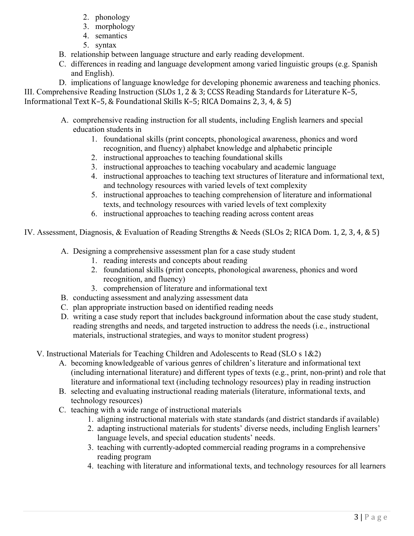- 2. phonology
- 3. morphology
- 4. semantics
- 5. syntax
- B. relationship between language structure and early reading development.
- C. differences in reading and language development among varied linguistic groups (e.g. Spanish and English).

D. implications of language knowledge for developing phonemic awareness and teaching phonics. III. Comprehensive Reading Instruction (SLOs 1, 2 & 3; CCSS Reading Standards for Literature K–5,

Informational Text K–5, & Foundational Skills K–5; RICA Domains 2, 3, 4, & 5)

- A. comprehensive reading instruction for all students, including English learners and special education students in
	- 1. foundational skills (print concepts, phonological awareness, phonics and word recognition, and fluency) alphabet knowledge and alphabetic principle
	- 2. instructional approaches to teaching foundational skills
	- 3. instructional approaches to teaching vocabulary and academic language
	- 4. instructional approaches to teaching text structures of literature and informational text, and technology resources with varied levels of text complexity
	- 5. instructional approaches to teaching comprehension of literature and informational texts, and technology resources with varied levels of text complexity
	- 6. instructional approaches to teaching reading across content areas
- IV. Assessment, Diagnosis, & Evaluation of Reading Strengths & Needs (SLOs 2; RICA Dom. 1, 2, 3, 4, & 5)
	- A. Designing a comprehensive assessment plan for a case study student
		- 1. reading interests and concepts about reading
		- 2. foundational skills (print concepts, phonological awareness, phonics and word recognition, and fluency)
		- 3. comprehension of literature and informational text
	- B. conducting assessment and analyzing assessment data
	- C. plan appropriate instruction based on identified reading needs
	- D. writing a case study report that includes background information about the case study student, reading strengths and needs, and targeted instruction to address the needs (i.e., instructional materials, instructional strategies, and ways to monitor student progress)

V. Instructional Materials for Teaching Children and Adolescents to Read (SLO s 1&2)

- A. becoming knowledgeable of various genres of children's literature and informational text (including international literature) and different types of texts (e.g., print, non-print) and role that literature and informational text (including technology resources) play in reading instruction
- B. selecting and evaluating instructional reading materials (literature, informational texts, and technology resources)
- C. teaching with a wide range of instructional materials
	- 1. aligning instructional materials with state standards (and district standards if available)
	- 2. adapting instructional materials for students' diverse needs, including English learners' language levels, and special education students' needs.
	- 3. teaching with currently-adopted commercial reading programs in a comprehensive reading program
	- 4. teaching with literature and informational texts, and technology resources for all learners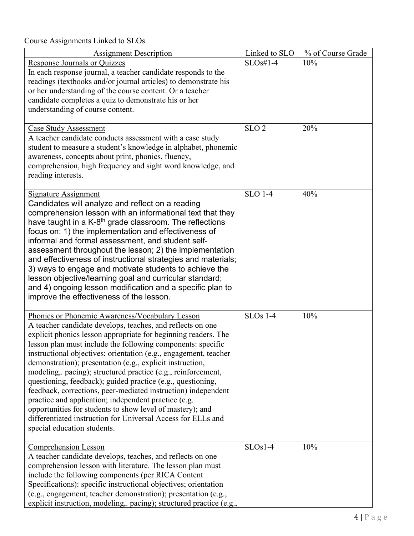Course Assignments Linked to SLOs

| <b>Assignment Description</b>                                                                                               | Linked to SLO    | % of Course Grade |
|-----------------------------------------------------------------------------------------------------------------------------|------------------|-------------------|
| <b>Response Journals or Quizzes</b>                                                                                         | $SLOs#1-4$       | 10%               |
| In each response journal, a teacher candidate responds to the                                                               |                  |                   |
| readings (textbooks and/or journal articles) to demonstrate his                                                             |                  |                   |
| or her understanding of the course content. Or a teacher                                                                    |                  |                   |
| candidate completes a quiz to demonstrate his or her                                                                        |                  |                   |
| understanding of course content.                                                                                            |                  |                   |
| <b>Case Study Assessment</b>                                                                                                | SLO <sub>2</sub> | 20%               |
| A teacher candidate conducts assessment with a case study                                                                   |                  |                   |
| student to measure a student's knowledge in alphabet, phonemic                                                              |                  |                   |
| awareness, concepts about print, phonics, fluency,                                                                          |                  |                   |
| comprehension, high frequency and sight word knowledge, and                                                                 |                  |                   |
| reading interests.                                                                                                          |                  |                   |
|                                                                                                                             | <b>SLO 1-4</b>   | 40%               |
| <b>Signature Assignment</b><br>Candidates will analyze and reflect on a reading                                             |                  |                   |
| comprehension lesson with an informational text that they                                                                   |                  |                   |
| have taught in a K-8 <sup>th</sup> grade classroom. The reflections                                                         |                  |                   |
| focus on: 1) the implementation and effectiveness of                                                                        |                  |                   |
| informal and formal assessment, and student self-                                                                           |                  |                   |
| assessment throughout the lesson; 2) the implementation                                                                     |                  |                   |
| and effectiveness of instructional strategies and materials;                                                                |                  |                   |
| 3) ways to engage and motivate students to achieve the                                                                      |                  |                   |
| lesson objective/learning goal and curricular standard;                                                                     |                  |                   |
| and 4) ongoing lesson modification and a specific plan to<br>improve the effectiveness of the lesson.                       |                  |                   |
|                                                                                                                             |                  |                   |
| Phonics or Phonemic Awareness/Vocabulary Lesson                                                                             | <b>SLOs</b> 1-4  | 10%               |
| A teacher candidate develops, teaches, and reflects on one                                                                  |                  |                   |
| explicit phonics lesson appropriate for beginning readers. The                                                              |                  |                   |
| lesson plan must include the following components: specific                                                                 |                  |                   |
| instructional objectives; orientation (e.g., engagement, teacher                                                            |                  |                   |
| demonstration); presentation (e.g., explicit instruction,                                                                   |                  |                   |
| modeling, pacing); structured practice (e.g., reinforcement,<br>questioning, feedback); guided practice (e.g., questioning, |                  |                   |
| feedback, corrections, peer-mediated instruction) independent                                                               |                  |                   |
| practice and application; independent practice (e.g.                                                                        |                  |                   |
| opportunities for students to show level of mastery); and                                                                   |                  |                   |
| differentiated instruction for Universal Access for ELLs and                                                                |                  |                   |
| special education students.                                                                                                 |                  |                   |
|                                                                                                                             | $SLOs1-4$        | 10%               |
| <b>Comprehension Lesson</b><br>A teacher candidate develops, teaches, and reflects on one                                   |                  |                   |
| comprehension lesson with literature. The lesson plan must                                                                  |                  |                   |
| include the following components (per RICA Content                                                                          |                  |                   |
| Specifications): specific instructional objectives; orientation                                                             |                  |                   |
| (e.g., engagement, teacher demonstration); presentation (e.g.,                                                              |                  |                   |
| explicit instruction, modeling, pacing); structured practice (e.g.,                                                         |                  |                   |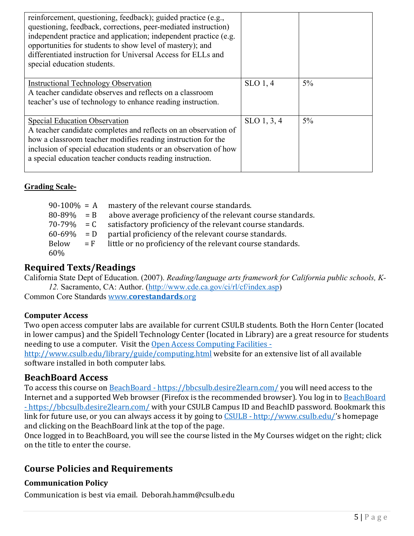| reinforcement, questioning, feedback); guided practice (e.g.,<br>questioning, feedback, corrections, peer-mediated instruction)<br>independent practice and application; independent practice (e.g.<br>opportunities for students to show level of mastery); and<br>differentiated instruction for Universal Access for ELLs and<br>special education students. |             |       |
|-----------------------------------------------------------------------------------------------------------------------------------------------------------------------------------------------------------------------------------------------------------------------------------------------------------------------------------------------------------------|-------------|-------|
| <b>Instructional Technology Observation</b><br>A teacher candidate observes and reflects on a classroom<br>teacher's use of technology to enhance reading instruction.                                                                                                                                                                                          | $SLO$ 1, 4  | $5\%$ |
| <b>Special Education Observation</b><br>A teacher candidate completes and reflects on an observation of<br>how a classroom teacher modifies reading instruction for the<br>inclusion of special education students or an observation of how<br>a special education teacher conducts reading instruction.                                                        | SLO 1, 3, 4 | $5\%$ |

### **Grading Scale-**

| $90-100\% = A$  | mastery of the relevant course standards.                        |
|-----------------|------------------------------------------------------------------|
| $80 - 89\% = B$ | above average proficiency of the relevant course standards.      |
| $70 - 79\% = C$ | satisfactory proficiency of the relevant course standards.       |
| $60-69\% = D$   | partial proficiency of the relevant course standards.            |
| <b>Below</b>    | $=$ F little or no proficiency of the relevant course standards. |
| 60%             |                                                                  |

### **Required Texts/Readings**

California State Dept of Education. (2007). *Reading/language arts framework for California public schools, K-12.* Sacramento, CA: Author. [\(http://www.cde.ca.gov/ci/rl/cf/index.asp\)](http://www.cde.ca.gov/ci/rl/cf/index.asp)

Common Core Standards www.**[corestandards](http://www.corestandards.org/)**.org

#### **Computer Access**

Two open access computer labs are available for current CSULB students. Both the Horn Center (located in lower campus) and the Spidell Technology Center (located in Library) are a great resource for students needing to use a computer. Visit the [Open Access Computing Facilities -](http://www.csulb.edu/library/guide/computing.html)

<http://www.csulb.edu/library/guide/computing.html> website for an extensive list of all available software installed in both computer labs.

### **BeachBoard Access**

To access this course on BeachBoard - <https://bbcsulb.desire2learn.com/> you will need access to the Internet and a supported Web browser (Firefox is the recommended browser). You log in to **BeachBoard** - <https://bbcsulb.desire2learn.com/> with your CSULB Campus ID and BeachID password. Bookmark this link for future use, or you can always access it by going to CSULB - [http://www.csulb.edu/'](http://www.csulb.edu/)s homepage and clicking on the BeachBoard link at the top of the page.

Once logged in to BeachBoard, you will see the course listed in the My Courses widget on the right; click on the title to enter the course.

### **Course Policies and Requirements**

### **Communication Policy**

Communication is best via email. Deborah.hamm@csulb.edu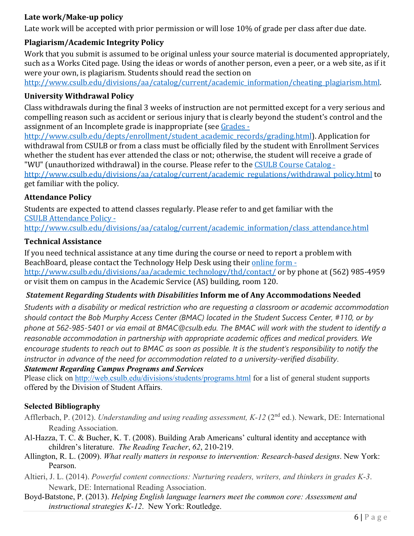### **Late work/Make-up policy**

Late work will be accepted with prior permission or will lose 10% of grade per class after due date.

### **Plagiarism/Academic Integrity Policy**

Work that you submit is assumed to be original unless your source material is documented appropriately, such as a Works Cited page. Using the ideas or words of another person, even a peer, or a web site, as if it were your own, is plagiarism. Students should read the section on

[http://www.csulb.edu/divisions/aa/catalog/current/academic\\_information/cheating\\_plagiarism.html.](http://www.csulb.edu/divisions/aa/catalog/current/academic_information/cheating_plagiarism.html)

#### **University Withdrawal Policy**

Class withdrawals during the final 3 weeks of instruction are not permitted except for a very serious and compelling reason such as accident or serious injury that is clearly beyond the student's control and the assignment of an Incomplete grade is inappropriate (see [Grades -](http://www.csulb.edu/depts/enrollment/student_academic_records/grading.html)

[http://www.csulb.edu/depts/enrollment/student\\_academic\\_records/grading.html\)](http://www.csulb.edu/depts/enrollment/student_academic_records/grading.html). Application for withdrawal from CSULB or from a class must be officially filed by the student with Enrollment Services whether the student has ever attended the class or not; otherwise, the student will receive a grade of "WU" (unauthorized withdrawal) in the course. Please refer to the [CSULB Course Catalog -](http://www.csulb.edu/divisions/aa/catalog/current/academic_regulations/withdrawal_policy.html)

[http://www.csulb.edu/divisions/aa/catalog/current/academic\\_regulations/withdrawal\\_policy.html](http://www.csulb.edu/divisions/aa/catalog/current/academic_regulations/withdrawal_policy.html) to get familiar with the policy.

#### **Attendance Policy**

[Students are expected to attend classes regularly. Please refer to and get familiar with the](http://www.csulb.edu/divisions/aa/catalog/current/academic_information/class_attendance.html) CSULB Attendance Policy -

[http://www.csulb.edu/divisions/aa/catalog/current/academic\\_information/class\\_attendance.html](http://www.csulb.edu/divisions/aa/catalog/current/academic_information/class_attendance.html) 

#### **Technical Assistance**

If you need technical assistance at any time during the course or need to report a problem with BeachBoard, please contact the Technology Help Desk using thei[r online form](http://www.csulb.edu/divisions/aa/academic_technology/thd/contact/)  [http://www.csulb.edu/divisions/aa/academic\\_technology/thd/contact/](http://www.csulb.edu/divisions/aa/academic_technology/thd/contact/) or by phone at (562) 985-4959 or visit them on campus in the Academic Service (AS) building, room 120.

### *Statement Regarding Students with Disabilities* **Inform me of Any Accommodations Needed**

*Students with a disability or medical restriction who are requesting a classroom or academic accommodation should contact the Bob Murphy Access Center (BMAC) located in the Student Success Center, #110, or by phone at 562-985-5401 or via email at BMAC@csulb.edu. The BMAC will work with the student to identify a reasonable accommodation in partnership with appropriate academic offices and medical providers. We encourage students to reach out to BMAC as soon as possible. It is the student's responsibility to notify the instructor in advance of the need for accommodation related to a university-verified disability*.

### *Statement Regarding Campus Programs and Services*

Please click on <http://web.csulb.edu/divisions/students/programs.html> for a list of general student supports offered by the Division of Student Affairs.

### **Selected Bibliography**

- Afflerbach, P. (2012). *Understanding and using reading assessment, K-12* (2nd ed.). Newark, DE: International Reading Association.
- Al-Hazza, T. C. & Bucher, K. T. (2008). Building Arab Americans' cultural identity and acceptance with children's literature. *The Reading Teacher*, *62*, 210-219.
- Allington, R. L. (2009). *What really matters in response to intervention: Research-based designs*. New York: Pearson.
- Altieri, J. L. (2014). *Powerful content connections: Nurturing readers, writers, and thinkers in grades K-3*. Newark, DE: International Reading Association.
- Boyd-Batstone, P. (2013). *Helping English language learners meet the common core: Assessment and instructional strategies K-12*. New York: Routledge.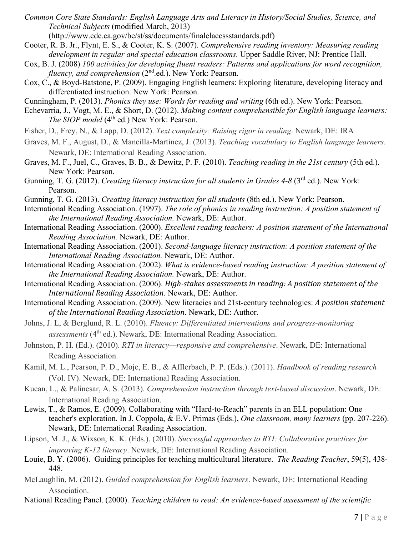*Common Core State Standards: English Language Arts and Literacy in History/Social Studies, Science, and Technical Subjects* (modified March, 2013)

(http://www.cde.ca.gov/be/st/ss/documents/finalelaccssstandards.pdf)

- Cooter, R. B. Jr., Flynt, E. S., & Cooter, K. S. (2007). *Comprehensive reading inventory: Measuring reading development in regular and special education classrooms.* Upper Saddle River, NJ: Prentice Hall.
- Cox, B. J. (2008) *100 activities for developing fluent readers: Patterns and applications for word recognition, fluency, and comprehension* (2<sup>nd</sup>.ed.). New York: Pearson.
- Cox, C., & Boyd-Batstone, P. (2009). Engaging English learners: Exploring literature, developing literacy and differentiated instruction. New York: Pearson.
- Cunningham, P. (2013). *Phonics they use: Words for reading and writing* (6th ed.). New York: Pearson.
- Echevarria, J., Vogt, M. E., & Short, D. (2012). *Making content comprehensible for English language learners: The SIOP model* (4<sup>th</sup> ed.) New York: Pearson.
- Fisher, D., Frey, N., & Lapp, D. (2012). *Text complexity: Raising rigor in reading*. Newark, DE: IRA
- Graves, M. F., August, D., & Mancilla-Martinez, J. (2013). *Teaching vocabulary to English language learners*. Newark, DE: International Reading Association.
- Graves, M. F., Juel, C., Graves, B. B., & Dewitz, P. F. (2010). *Teaching reading in the 21st century* (5th ed.). New York: Pearson.
- Gunning, T. G. (2012). *Creating literacy instruction for all students in Grades 4-8* (3<sup>rd</sup> ed.). New York: Pearson.
- Gunning, T. G. (2013). *Creating literacy instruction for all students* (8th ed.). New York: Pearson.
- International Reading Association. (1997). *The role of phonics in reading instruction: A position statement of the International Reading Association.* Newark, DE: Author.
- International Reading Association. (2000). *Excellent reading teachers: A position statement of the International Reading Association.* Newark, DE: Author.
- International Reading Association. (2001). *Second-language literacy instruction: A position statement of the International Reading Association.* Newark, DE: Author.
- International Reading Association. (2002). *What is evidence-based reading instruction: A position statement of the International Reading Association.* Newark, DE: Author.
- International Reading Association. (2006). *High-stakes assessments in reading: A position statement of the International Reading Association*. Newark, DE: Author.

International Reading Association. (2009). New literacies and 21st-century technologies: *A position statement of the International Reading Association*. Newark, DE: Author.

- Johns, J. L, & Berglund, R. L. (2010). *Fluency: Differentiated interventions and progress-monitoring assessments* (4<sup>th</sup> ed.). Newark, DE: International Reading Association.
- Johnston, P. H. (Ed.). (2010). *RTI in literacy—responsive and comprehensive*. Newark, DE: International Reading Association.
- Kamil, M. L., Pearson, P. D., Moje, E. B., & Afflerbach, P. P. (Eds.). (2011). *Handbook of reading research* (Vol. IV). Newark, DE: International Reading Association.
- Kucan, L., & Palincsar, A. S. (2013). *Comprehension instruction through text-based discussion*. Newark, DE: International Reading Association.
- Lewis, T., & Ramos, E. (2009). Collaborating with "Hard-to-Reach" parents in an ELL population: One teacher's exploration. In J. Coppola, & E.V. Primas (Eds.), *One classroom, many learners* (pp. 207-226). Newark, DE: International Reading Association.
- Lipson, M. J., & Wixson, K. K. (Eds.). (2010). *Successful approaches to RTI: Collaborative practices for improving K-12 literacy*. Newark, DE: International Reading Association.
- Louie, B. Y. (2006). Guiding principles for teaching multicultural literature. *The Reading Teacher*, 59(5), 438- 448.
- McLaughlin, M. (2012). *Guided comprehension for English learners*. Newark, DE: International Reading Association.

National Reading Panel. (2000). *Teaching children to read: An evidence-based assessment of the scientific*